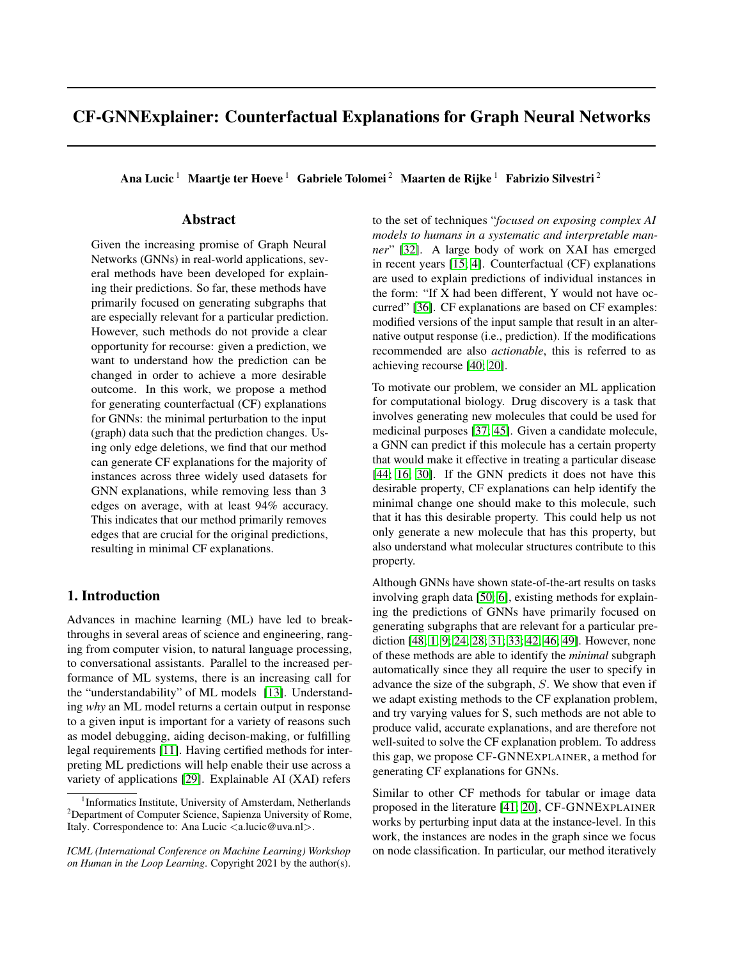# CF-GNNExplainer: Counterfactual Explanations for Graph Neural Networks

Ana Lucic<sup>1</sup> Maartje ter Hoeve<sup>1</sup> Gabriele Tolomei<sup>2</sup> Maarten de Rijke<sup>1</sup> Fabrizio Silvestri<sup>2</sup>

### Abstract

Given the increasing promise of Graph Neural Networks (GNNs) in real-world applications, several methods have been developed for explaining their predictions. So far, these methods have primarily focused on generating subgraphs that are especially relevant for a particular prediction. However, such methods do not provide a clear opportunity for recourse: given a prediction, we want to understand how the prediction can be changed in order to achieve a more desirable outcome. In this work, we propose a method for generating counterfactual (CF) explanations for GNNs: the minimal perturbation to the input (graph) data such that the prediction changes. Using only edge deletions, we find that our method can generate CF explanations for the majority of instances across three widely used datasets for GNN explanations, while removing less than 3 edges on average, with at least 94% accuracy. This indicates that our method primarily removes edges that are crucial for the original predictions, resulting in minimal CF explanations.

### 1. Introduction

Advances in machine learning (ML) have led to breakthroughs in several areas of science and engineering, ranging from computer vision, to natural language processing, to conversational assistants. Parallel to the increased performance of ML systems, there is an increasing call for the "understandability" of ML models [\[13\]](#page-7-0). Understanding *why* an ML model returns a certain output in response to a given input is important for a variety of reasons such as model debugging, aiding decison-making, or fulfilling legal requirements [\[11\]](#page-7-1). Having certified methods for interpreting ML predictions will help enable their use across a variety of applications [\[29\]](#page-8-0). Explainable AI (XAI) refers

to the set of techniques "*focused on exposing complex AI models to humans in a systematic and interpretable manner*" [\[32\]](#page-8-1). A large body of work on XAI has emerged in recent years [\[15;](#page-7-2) [4\]](#page-7-3). Counterfactual (CF) explanations are used to explain predictions of individual instances in the form: "If X had been different, Y would not have occurred" [\[36\]](#page-8-2). CF explanations are based on CF examples: modified versions of the input sample that result in an alternative output response (i.e., prediction). If the modifications recommended are also *actionable*, this is referred to as achieving recourse [\[40;](#page-8-3) [20\]](#page-7-4).

To motivate our problem, we consider an ML application for computational biology. Drug discovery is a task that involves generating new molecules that could be used for medicinal purposes [\[37;](#page-8-4) [45\]](#page-9-0). Given a candidate molecule, a GNN can predict if this molecule has a certain property that would make it effective in treating a particular disease [\[44;](#page-9-1) [16;](#page-7-5) [30\]](#page-8-5). If the GNN predicts it does not have this desirable property, CF explanations can help identify the minimal change one should make to this molecule, such that it has this desirable property. This could help us not only generate a new molecule that has this property, but also understand what molecular structures contribute to this property.

Although GNNs have shown state-of-the-art results on tasks involving graph data [\[50;](#page-9-2) [6\]](#page-7-6), existing methods for explaining the predictions of GNNs have primarily focused on generating subgraphs that are relevant for a particular prediction [\[48;](#page-9-3) [1;](#page-7-7) [9;](#page-7-8) [24;](#page-8-6) [28;](#page-8-7) [31;](#page-8-8) [33;](#page-8-9) [42;](#page-8-10) [46;](#page-9-4) [49\]](#page-9-5). However, none of these methods are able to identify the *minimal* subgraph automatically since they all require the user to specify in advance the size of the subgraph, S. We show that even if we adapt existing methods to the CF explanation problem, and try varying values for S, such methods are not able to produce valid, accurate explanations, and are therefore not well-suited to solve the CF explanation problem. To address this gap, we propose CF-GNNEXPLAINER, a method for generating CF explanations for GNNs.

Similar to other CF methods for tabular or image data proposed in the literature [\[41;](#page-8-11) [20\]](#page-7-4), CF-GNNEXPLAINER works by perturbing input data at the instance-level. In this work, the instances are nodes in the graph since we focus on node classification. In particular, our method iteratively

<sup>&</sup>lt;sup>1</sup>Informatics Institute, University of Amsterdam, Netherlands <sup>2</sup>Department of Computer Science, Sapienza University of Rome, Italy. Correspondence to: Ana Lucic  $\langle a \rangle$ lucic  $@$ uva.nl $>$ .

*ICML (International Conference on Machine Learning) Workshop on Human in the Loop Learning*. Copyright 2021 by the author(s).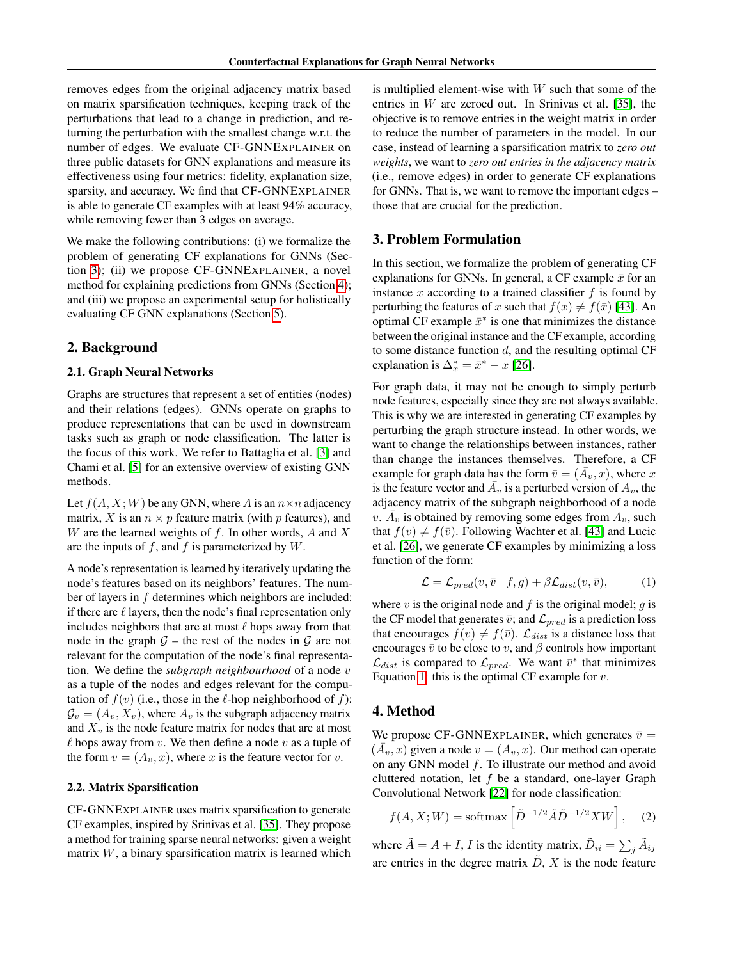removes edges from the original adjacency matrix based on matrix sparsification techniques, keeping track of the perturbations that lead to a change in prediction, and returning the perturbation with the smallest change w.r.t. the number of edges. We evaluate CF-GNNEXPLAINER on three public datasets for GNN explanations and measure its effectiveness using four metrics: fidelity, explanation size, sparsity, and accuracy. We find that CF-GNNEXPLAINER is able to generate CF examples with at least 94% accuracy, while removing fewer than 3 edges on average.

We make the following contributions: (i) we formalize the problem of generating CF explanations for GNNs (Section [3\)](#page-1-0); (ii) we propose CF-GNNEXPLAINER, a novel method for explaining predictions from GNNs (Section [4\)](#page-1-1); and (iii) we propose an experimental setup for holistically evaluating CF GNN explanations (Section [5\)](#page-3-0).

### <span id="page-1-3"></span>2. Background

### 2.1. Graph Neural Networks

Graphs are structures that represent a set of entities (nodes) and their relations (edges). GNNs operate on graphs to produce representations that can be used in downstream tasks such as graph or node classification. The latter is the focus of this work. We refer to Battaglia et al. [\[3\]](#page-7-9) and Chami et al. [\[5\]](#page-7-10) for an extensive overview of existing GNN methods.

Let  $f(A, X; W)$  be any GNN, where A is an  $n \times n$  adjacency matrix, X is an  $n \times p$  feature matrix (with p features), and W are the learned weights of  $f$ . In other words,  $A$  and  $X$ are the inputs of  $f$ , and  $f$  is parameterized by  $W$ .

A node's representation is learned by iteratively updating the node's features based on its neighbors' features. The number of layers in f determines which neighbors are included: if there are  $\ell$  layers, then the node's final representation only includes neighbors that are at most  $\ell$  hops away from that node in the graph  $G$  – the rest of the nodes in  $G$  are not relevant for the computation of the node's final representation. We define the *subgraph neighbourhood* of a node v as a tuple of the nodes and edges relevant for the computation of  $f(v)$  (i.e., those in the  $\ell$ -hop neighborhood of f):  $\mathcal{G}_v = (A_v, X_v)$ , where  $A_v$  is the subgraph adjacency matrix and  $X_v$  is the node feature matrix for nodes that are at most  $\ell$  hops away from  $v$ . We then define a node  $v$  as a tuple of the form  $v = (A_v, x)$ , where x is the feature vector for v.

### 2.2. Matrix Sparsification

CF-GNNEXPLAINER uses matrix sparsification to generate CF examples, inspired by Srinivas et al. [\[35\]](#page-8-12). They propose a method for training sparse neural networks: given a weight matrix  $W$ , a binary sparsification matrix is learned which

is multiplied element-wise with  $W$  such that some of the entries in  $W$  are zeroed out. In Srinivas et al. [\[35\]](#page-8-12), the objective is to remove entries in the weight matrix in order to reduce the number of parameters in the model. In our case, instead of learning a sparsification matrix to *zero out weights*, we want to *zero out entries in the adjacency matrix* (i.e., remove edges) in order to generate CF explanations for GNNs. That is, we want to remove the important edges – those that are crucial for the prediction.

### <span id="page-1-0"></span>3. Problem Formulation

In this section, we formalize the problem of generating CF explanations for GNNs. In general, a CF example  $\bar{x}$  for an instance  $x$  according to a trained classifier  $f$  is found by perturbing the features of x such that  $f(x) \neq f(\bar{x})$  [\[43\]](#page-9-6). An optimal CF example  $\bar{x}^*$  is one that minimizes the distance between the original instance and the CF example, according to some distance function  $d$ , and the resulting optimal CF explanation is  $\Delta_x^* = \bar{x}^* - x$  [\[26\]](#page-8-13).

For graph data, it may not be enough to simply perturb node features, especially since they are not always available. This is why we are interested in generating CF examples by perturbing the graph structure instead. In other words, we want to change the relationships between instances, rather than change the instances themselves. Therefore, a CF example for graph data has the form  $\bar{v} = (\bar{A}_v, x)$ , where x is the feature vector and  $\overline{A}_v$  is a perturbed version of  $A_v$ , the adjacency matrix of the subgraph neighborhood of a node  $v \cdot \overline{A}_v$  is obtained by removing some edges from  $A_v$ , such that  $f(v) \neq f(\overline{v})$ . Following Wachter et al. [\[43\]](#page-9-6) and Lucic et al. [\[26\]](#page-8-13), we generate CF examples by minimizing a loss function of the form:

<span id="page-1-2"></span>
$$
\mathcal{L} = \mathcal{L}_{pred}(v, \bar{v} \mid f, g) + \beta \mathcal{L}_{dist}(v, \bar{v}), \tag{1}
$$

where v is the original node and f is the original model; q is the CF model that generates  $\bar{v}$ ; and  $\mathcal{L}_{pred}$  is a prediction loss that encourages  $f(v) \neq f(\bar{v})$ .  $\mathcal{L}_{dist}$  is a distance loss that encourages  $\bar{v}$  to be close to v, and  $\beta$  controls how important  $\mathcal{L}_{dist}$  is compared to  $\mathcal{L}_{pred}$ . We want  $\bar{v}^*$  that minimizes Equation [1:](#page-1-2) this is the optimal CF example for  $v$ .

### <span id="page-1-1"></span>4. Method

We propose CF-GNNEXPLAINER, which generates  $\bar{v}$  =  $(\bar{A}_v, x)$  given a node  $v = (A_v, x)$ . Our method can operate on any GNN model f. To illustrate our method and avoid cluttered notation, let  $f$  be a standard, one-layer Graph Convolutional Network [\[22\]](#page-8-14) for node classification:

<span id="page-1-4"></span>
$$
f(A, X; W) = \text{softmax}\left[\tilde{D}^{-1/2}\tilde{A}\tilde{D}^{-1/2}XW\right],\quad(2)
$$

where  $\tilde{A} = A + I$ , I is the identity matrix,  $\tilde{D}_{ii} = \sum_{j} \tilde{A}_{ij}$ are entries in the degree matrix  $\tilde{D}$ , X is the node feature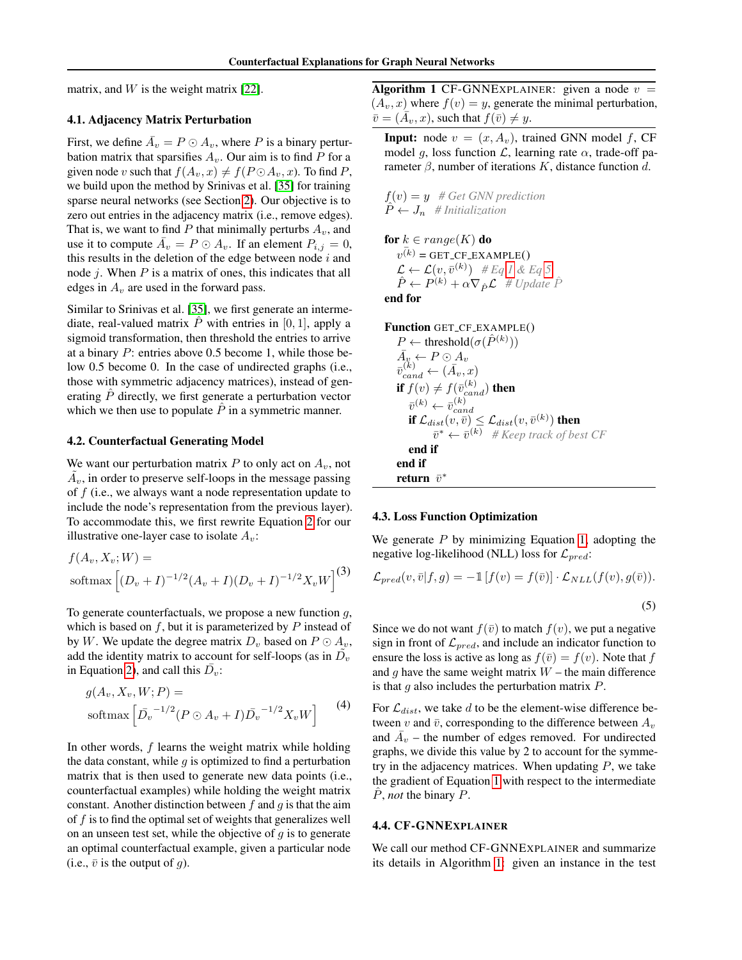matrix, and  $W$  is the weight matrix [\[22\]](#page-8-14).

### <span id="page-2-3"></span>4.1. Adjacency Matrix Perturbation

First, we define  $\overline{A}_v = P \odot A_v$ , where P is a binary perturbation matrix that sparsifies  $A_v$ . Our aim is to find P for a given node v such that  $f(A_v, x) \neq f(P \odot A_v, x)$ . To find P, we build upon the method by Srinivas et al. [\[35\]](#page-8-12) for training sparse neural networks (see Section [2\)](#page-1-3). Our objective is to zero out entries in the adjacency matrix (i.e., remove edges). That is, we want to find P that minimally perturbs  $A_v$ , and use it to compute  $\overline{A}_v = P \odot A_v$ . If an element  $P_{i,j} = 0$ , this results in the deletion of the edge between node  $i$  and node  $j$ . When  $P$  is a matrix of ones, this indicates that all edges in  $A_v$  are used in the forward pass.

Similar to Srinivas et al. [\[35\]](#page-8-12), we first generate an intermediate, real-valued matrix  $\hat{P}$  with entries in [0, 1], apply a sigmoid transformation, then threshold the entries to arrive at a binary P: entries above 0.5 become 1, while those below 0.5 become 0. In the case of undirected graphs (i.e., those with symmetric adjacency matrices), instead of generating  $\ddot{P}$  directly, we first generate a perturbation vector which we then use to populate  $\hat{P}$  in a symmetric manner.

#### 4.2. Counterfactual Generating Model

We want our perturbation matrix P to only act on  $A_v$ , not  $\tilde{A}_v$ , in order to preserve self-loops in the message passing of  $f$  (i.e., we always want a node representation update to include the node's representation from the previous layer). To accommodate this, we first rewrite Equation [2](#page-1-4) for our illustrative one-layer case to isolate  $A_v$ :

$$
f(A_v, X_v; W) =
$$
  
softmax 
$$
\left[ (D_v + I)^{-1/2} (A_v + I)(D_v + I)^{-1/2} X_v W \right]^{(3)}
$$

To generate counterfactuals, we propose a new function  $g$ , which is based on  $f$ , but it is parameterized by  $P$  instead of by W. We update the degree matrix  $D_v$  based on  $P \odot A_v$ , add the identity matrix to account for self-loops (as in  $\tilde{D_v}$ in Equation [2\)](#page-1-4), and call this  $\bar{D}_v$ :

<span id="page-2-2"></span>
$$
g(A_v, X_v, W; P) =
$$
  
softmax  $\left[ \bar{D}_v^{-1/2} (P \odot A_v + I) \bar{D}_v^{-1/2} X_v W \right]$  (4)

In other words,  $f$  learns the weight matrix while holding the data constant, while  $q$  is optimized to find a perturbation matrix that is then used to generate new data points (i.e., counterfactual examples) while holding the weight matrix constant. Another distinction between  $f$  and  $g$  is that the aim of  $f$  is to find the optimal set of weights that generalizes well on an unseen test set, while the objective of  $g$  is to generate an optimal counterfactual example, given a particular node (i.e.,  $\bar{v}$  is the output of g).

<span id="page-2-1"></span>Algorithm 1 CF-GNNEXPLAINER: given a node  $v =$  $(A_v, x)$  where  $f(v) = y$ , generate the minimal perturbation,  $\overline{v} = (\overline{A}_v, x)$ , such that  $f(\overline{v}) \neq y$ .

**Input:** node  $v = (x, A_v)$ , trained GNN model f, CF model g, loss function  $\mathcal{L}$ , learning rate  $\alpha$ , trade-off parameter  $\beta$ , number of iterations K, distance function d.

 $f(v) = y$  # Get GNN prediction  $P \leftarrow J_n$  # Initialization

for  $k \in range(K)$  do  $v^{(k)}$  = GET\_CF\_EXAMPLE()  $\mathcal{L} \leftarrow \mathcal{L}(v, \bar{v}^{(k)})$  # Eq [1](#page-1-2) & Eq [5](#page-2-0)  $\hat{P} \leftarrow \hat{P^{(k)}} + \alpha \nabla_{\hat{P}} \mathcal{L}^{\dagger} \# \text{Update } \hat{P}$ end for

```
Function GET CF EXAMPLE()
 P \leftarrow \text{threshold}(\sigma(\hat{P}^{(k)}))\bar{A_y} \leftarrow P \odot A_v\bar{v}_{cand}^{(k)} \leftarrow (\bar{A}_v, x)if f(v) \neq f(\bar{v}_{cand}^{(k)}) then
      \bar{v}^{(k)} \leftarrow \bar{v}_{car}^{(k)}if \mathcal{L}_{dist}(v, \bar{v}) \leq \mathcal{L}_{dist}(v, \bar{v}^{(k)}) then
               \bar{v}^* \leftarrow \bar{v}^{(k)} # Keep track of best CF
     end if
end if
 return \bar{v}^*
```
#### 4.3. Loss Function Optimization

We generate  $P$  by minimizing Equation [1,](#page-1-2) adopting the negative log-likelihood (NLL) loss for  $\mathcal{L}_{pred}$ :

<span id="page-2-0"></span>
$$
\mathcal{L}_{pred}(v,\bar{v}|f,g) = -\mathbb{1}\left[f(v) = f(\bar{v})\right] \cdot \mathcal{L}_{NLL}(f(v), g(\bar{v})).
$$
\n(5)

Since we do not want  $f(\bar{v})$  to match  $f(v)$ , we put a negative sign in front of  $\mathcal{L}_{pred}$ , and include an indicator function to ensure the loss is active as long as  $f(\bar{v}) = f(v)$ . Note that f and  $g$  have the same weight matrix  $W$  – the main difference is that  $g$  also includes the perturbation matrix  $P$ .

For  $\mathcal{L}_{dist}$ , we take d to be the element-wise difference between v and  $\bar{v}$ , corresponding to the difference between  $A_v$ and  $\overline{A}_v$  – the number of edges removed. For undirected graphs, we divide this value by 2 to account for the symmetry in the adjacency matrices. When updating  $P$ , we take the gradient of Equation [1](#page-1-2) with respect to the intermediate  $\ddot{P}$ , *not* the binary  $P$ .

#### 4.4. CF-GNNEXPLAINER

We call our method CF-GNNEXPLAINER and summarize its details in Algorithm [1:](#page-2-1) given an instance in the test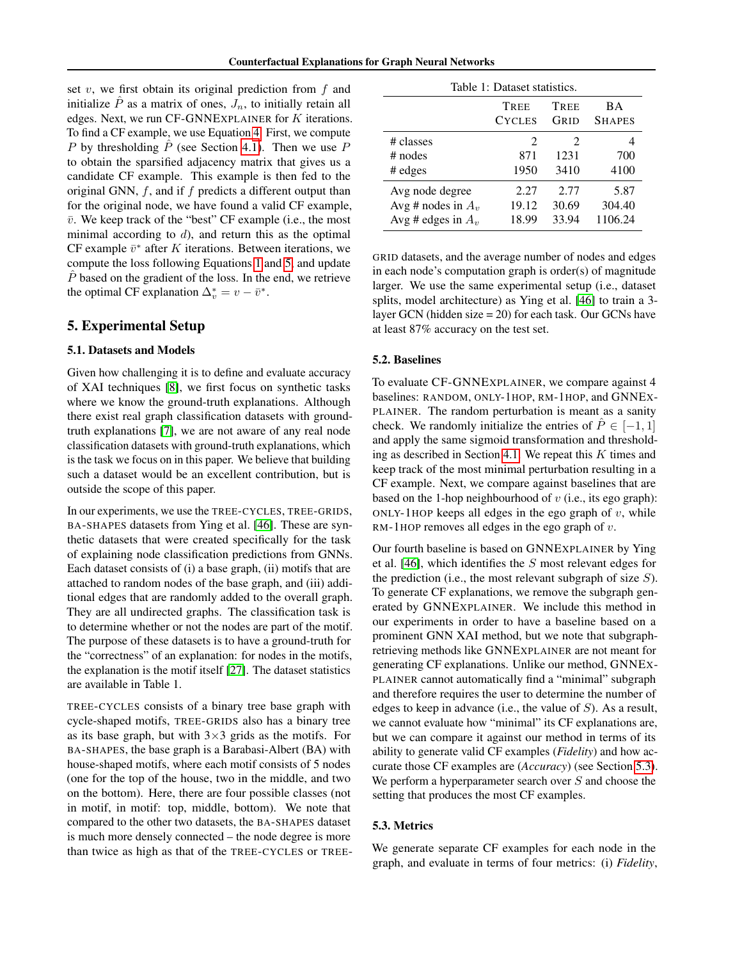set  $v$ , we first obtain its original prediction from  $f$  and initialize  $\tilde{P}$  as a matrix of ones,  $J_n$ , to initially retain all edges. Next, we run CF-GNNEXPLAINER for K iterations. To find a CF example, we use Equation [4.](#page-2-2) First, we compute P by thresholding  $\hat{P}$  (see Section [4.1\)](#page-2-3). Then we use P to obtain the sparsified adjacency matrix that gives us a candidate CF example. This example is then fed to the original GNN,  $f$ , and if  $f$  predicts a different output than for the original node, we have found a valid CF example,  $\bar{v}$ . We keep track of the "best" CF example (i.e., the most minimal according to  $d$ ), and return this as the optimal CF example  $\bar{v}^*$  after K iterations. Between iterations, we compute the loss following Equations [1](#page-1-2) and [5,](#page-2-0) and update  $\overline{P}$  based on the gradient of the loss. In the end, we retrieve the optimal CF explanation  $\Delta_v^* = v - \bar{v}^*$ .

### <span id="page-3-0"></span>5. Experimental Setup

#### 5.1. Datasets and Models

Given how challenging it is to define and evaluate accuracy of XAI techniques [\[8\]](#page-7-11), we first focus on synthetic tasks where we know the ground-truth explanations. Although there exist real graph classification datasets with groundtruth explanations [\[7\]](#page-7-12), we are not aware of any real node classification datasets with ground-truth explanations, which is the task we focus on in this paper. We believe that building such a dataset would be an excellent contribution, but is outside the scope of this paper.

In our experiments, we use the TREE-CYCLES, TREE-GRIDS, BA-SHAPES datasets from Ying et al. [\[46\]](#page-9-4). These are synthetic datasets that were created specifically for the task of explaining node classification predictions from GNNs. Each dataset consists of (i) a base graph, (ii) motifs that are attached to random nodes of the base graph, and (iii) additional edges that are randomly added to the overall graph. They are all undirected graphs. The classification task is to determine whether or not the nodes are part of the motif. The purpose of these datasets is to have a ground-truth for the "correctness" of an explanation: for nodes in the motifs, the explanation is the motif itself [\[27\]](#page-8-15). The dataset statistics are available in Table 1.

TREE-CYCLES consists of a binary tree base graph with cycle-shaped motifs, TREE-GRIDS also has a binary tree as its base graph, but with  $3\times3$  grids as the motifs. For BA-SHAPES, the base graph is a Barabasi-Albert (BA) with house-shaped motifs, where each motif consists of 5 nodes (one for the top of the house, two in the middle, and two on the bottom). Here, there are four possible classes (not in motif, in motif: top, middle, bottom). We note that compared to the other two datasets, the BA-SHAPES dataset is much more densely connected – the node degree is more than twice as high as that of the TREE-CYCLES or TREE-

<span id="page-3-2"></span>

| Table 1: Dataset statistics.      |                                            |                                             |               |  |  |  |  |  |  |
|-----------------------------------|--------------------------------------------|---------------------------------------------|---------------|--|--|--|--|--|--|
|                                   | TREE                                       | TREE                                        | ВA            |  |  |  |  |  |  |
|                                   | <b>CYCLES</b>                              | Grid                                        | <b>SHAPES</b> |  |  |  |  |  |  |
| # classes<br>$#$ nodes<br># edges | $\mathcal{D}_{\mathcal{L}}$<br>871<br>1950 | $\mathcal{D}_{\mathcal{A}}$<br>1231<br>3410 | 700<br>4100   |  |  |  |  |  |  |
| Avg node degree                   | 2.27                                       | 2.77                                        | 5.87          |  |  |  |  |  |  |
| Avg # nodes in $A_v$              | 19.12                                      | 30.69                                       | 304.40        |  |  |  |  |  |  |
| Avg # edges in $A_v$              | 18.99                                      | 33.94                                       | 1106.24       |  |  |  |  |  |  |

GRID datasets, and the average number of nodes and edges in each node's computation graph is order(s) of magnitude larger. We use the same experimental setup (i.e., dataset splits, model architecture) as Ying et al. [\[46\]](#page-9-4) to train a 3 layer GCN (hidden size = 20) for each task. Our GCNs have at least 87% accuracy on the test set.

#### <span id="page-3-3"></span>5.2. Baselines

To evaluate CF-GNNEXPLAINER, we compare against 4 baselines: RANDOM, ONLY-1HOP, RM-1HOP, and GNNEX-PLAINER. The random perturbation is meant as a sanity check. We randomly initialize the entries of  $\hat{P} \in [-1, 1]$ and apply the same sigmoid transformation and threshold-ing as described in Section [4.1.](#page-2-3) We repeat this  $K$  times and keep track of the most minimal perturbation resulting in a CF example. Next, we compare against baselines that are based on the 1-hop neighbourhood of  $v$  (i.e., its ego graph): ONLY-1HOP keeps all edges in the ego graph of  $v$ , while RM-1HOP removes all edges in the ego graph of  $v$ .

Our fourth baseline is based on GNNEXPLAINER by Ying et al. [\[46\]](#page-9-4), which identifies the S most relevant edges for the prediction (i.e., the most relevant subgraph of size  $S$ ). To generate CF explanations, we remove the subgraph generated by GNNEXPLAINER. We include this method in our experiments in order to have a baseline based on a prominent GNN XAI method, but we note that subgraphretrieving methods like GNNEXPLAINER are not meant for generating CF explanations. Unlike our method, GNNEX-PLAINER cannot automatically find a "minimal" subgraph and therefore requires the user to determine the number of edges to keep in advance (i.e., the value of  $S$ ). As a result, we cannot evaluate how "minimal" its CF explanations are, but we can compare it against our method in terms of its ability to generate valid CF examples (*Fidelity*) and how accurate those CF examples are (*Accuracy*) (see Section [5.3\)](#page-3-1). We perform a hyperparameter search over  $S$  and choose the setting that produces the most CF examples.

#### <span id="page-3-1"></span>5.3. Metrics

We generate separate CF examples for each node in the graph, and evaluate in terms of four metrics: (i) *Fidelity*,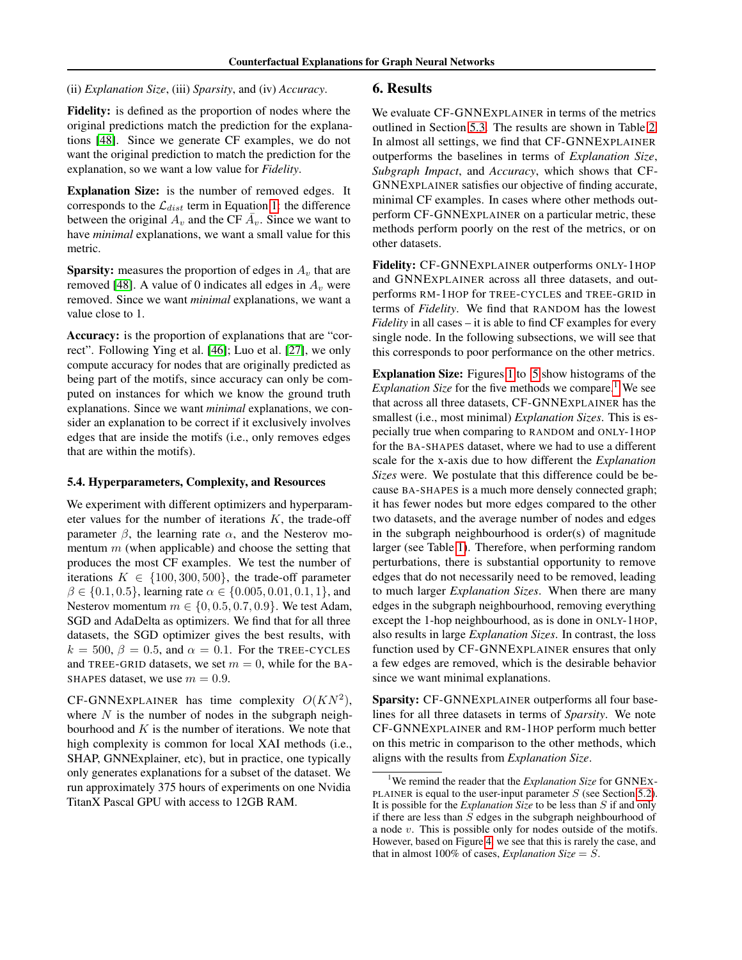(ii) *Explanation Size*, (iii) *Sparsity*, and (iv) *Accuracy*.

### 6. Results

Fidelity: is defined as the proportion of nodes where the original predictions match the prediction for the explanations [\[48\]](#page-9-3). Since we generate CF examples, we do not want the original prediction to match the prediction for the explanation, so we want a low value for *Fidelity*.

Explanation Size: is the number of removed edges. It corresponds to the  $\mathcal{L}_{dist}$  term in Equation [1:](#page-1-2) the difference between the original  $A_v$  and the CF  $\overline{A}_v$ . Since we want to have *minimal* explanations, we want a small value for this metric.

**Sparsity:** measures the proportion of edges in  $A_v$  that are removed [\[48\]](#page-9-3). A value of 0 indicates all edges in  $A_v$  were removed. Since we want *minimal* explanations, we want a value close to 1.

Accuracy: is the proportion of explanations that are "correct". Following Ying et al. [\[46\]](#page-9-4); Luo et al. [\[27\]](#page-8-15), we only compute accuracy for nodes that are originally predicted as being part of the motifs, since accuracy can only be computed on instances for which we know the ground truth explanations. Since we want *minimal* explanations, we consider an explanation to be correct if it exclusively involves edges that are inside the motifs (i.e., only removes edges that are within the motifs).

#### 5.4. Hyperparameters, Complexity, and Resources

We experiment with different optimizers and hyperparameter values for the number of iterations  $K$ , the trade-off parameter  $\beta$ , the learning rate  $\alpha$ , and the Nesterov momentum  $m$  (when applicable) and choose the setting that produces the most CF examples. We test the number of iterations  $K \in \{100, 300, 500\}$ , the trade-off parameter  $\beta \in \{0.1, 0.5\}$ , learning rate  $\alpha \in \{0.005, 0.01, 0.1, 1\}$ , and Nesterov momentum  $m \in \{0, 0.5, 0.7, 0.9\}$ . We test Adam, SGD and AdaDelta as optimizers. We find that for all three datasets, the SGD optimizer gives the best results, with  $k = 500$ ,  $\beta = 0.5$ , and  $\alpha = 0.1$ . For the TREE-CYCLES and TREE-GRID datasets, we set  $m = 0$ , while for the BA-SHAPES dataset, we use  $m = 0.9$ .

CF-GNNEXPLAINER has time complexity  $O(KN^2)$ , where  $N$  is the number of nodes in the subgraph neighbourhood and  $K$  is the number of iterations. We note that high complexity is common for local XAI methods (i.e., SHAP, GNNExplainer, etc), but in practice, one typically only generates explanations for a subset of the dataset. We run approximately 375 hours of experiments on one Nvidia TitanX Pascal GPU with access to 12GB RAM.

We evaluate CF-GNNEXPLAINER in terms of the metrics outlined in Section [5.3.](#page-3-1) The results are shown in Table [2.](#page-5-0) In almost all settings, we find that CF-GNNEXPLAINER outperforms the baselines in terms of *Explanation Size*, *Subgraph Impact*, and *Accuracy*, which shows that CF-GNNEXPLAINER satisfies our objective of finding accurate, minimal CF examples. In cases where other methods outperform CF-GNNEXPLAINER on a particular metric, these methods perform poorly on the rest of the metrics, or on other datasets.

Fidelity: CF-GNNEXPLAINER outperforms ONLY-1HOP and GNNEXPLAINER across all three datasets, and outperforms RM-1HOP for TREE-CYCLES and TREE-GRID in terms of *Fidelity*. We find that RANDOM has the lowest *Fidelity* in all cases – it is able to find CF examples for every single node. In the following subsections, we will see that this corresponds to poor performance on the other metrics.

Explanation Size: Figures [1](#page-6-0) to [5](#page-6-0) show histograms of the *Explanation Size* for the five methods we compare.<sup>[1](#page-4-0)</sup> We see that across all three datasets, CF-GNNEXPLAINER has the smallest (i.e., most minimal) *Explanation Sizes*. This is especially true when comparing to RANDOM and ONLY-1HOP for the BA-SHAPES dataset, where we had to use a different scale for the x-axis due to how different the *Explanation Sizes* were. We postulate that this difference could be because BA-SHAPES is a much more densely connected graph; it has fewer nodes but more edges compared to the other two datasets, and the average number of nodes and edges in the subgraph neighbourhood is order(s) of magnitude larger (see Table [1\)](#page-3-2). Therefore, when performing random perturbations, there is substantial opportunity to remove edges that do not necessarily need to be removed, leading to much larger *Explanation Sizes*. When there are many edges in the subgraph neighbourhood, removing everything except the 1-hop neighbourhood, as is done in ONLY-1HOP, also results in large *Explanation Sizes*. In contrast, the loss function used by CF-GNNEXPLAINER ensures that only a few edges are removed, which is the desirable behavior since we want minimal explanations.

Sparsity: CF-GNNEXPLAINER outperforms all four baselines for all three datasets in terms of *Sparsity*. We note CF-GNNEXPLAINER and RM-1HOP perform much better on this metric in comparison to the other methods, which aligns with the results from *Explanation Size*.

<span id="page-4-0"></span><sup>&</sup>lt;sup>1</sup>We remind the reader that the *Explanation Size* for GNNEX-PLAINER is equal to the user-input parameter  $S$  (see Section [5.2\)](#page-3-3). It is possible for the *Explanation Size* to be less than S if and only if there are less than  $S$  edges in the subgraph neighbourhood of a node v. This is possible only for nodes outside of the motifs. However, based on Figure [4,](#page-6-0) we see that this is rarely the case, and that in almost 100% of cases, *Explanation Size* =  $S$ .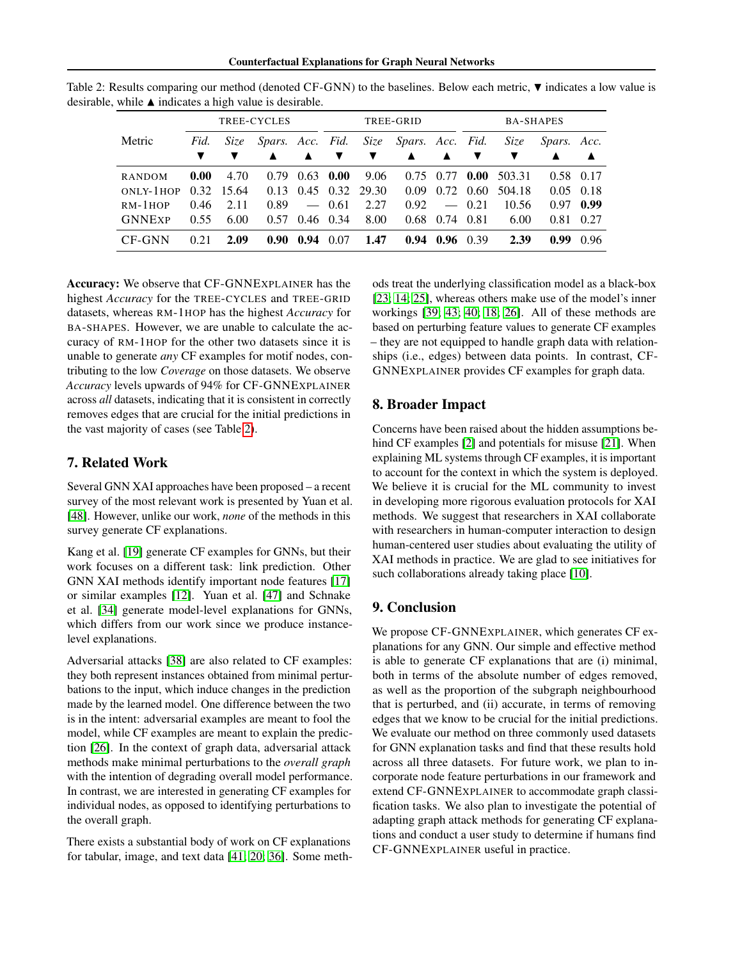Counterfactual Explanations for Graph Neural Networks

| TREE-CYCLES   |      |            | TREE-GRID               |                          |             | <b>BA-SHAPES</b>      |                       |                      |                   |        |                   |      |
|---------------|------|------------|-------------------------|--------------------------|-------------|-----------------------|-----------------------|----------------------|-------------------|--------|-------------------|------|
| Metric        | Fid. | Size       | <i>Spars. Acc. Fid.</i> |                          |             |                       | Size Spars. Acc. Fid. |                      |                   | Size   | Spars. Acc.       |      |
|               |      |            |                         | $\blacktriangle$         | ▼           | v                     | $\blacktriangle$      | ▲                    |                   |        |                   | ▲    |
| <b>RANDOM</b> | 0.00 | 4.70       | 0.79                    |                          | $0.63$ 0.00 | 9.06                  |                       | 0.75 0.77            | 0.00              | 503.31 | 0.58 0.17         |      |
| ONLY-1HOP     |      | 0.32 15.64 | 0.13                    |                          |             | $0.45$ $0.32$ $29.30$ | 0.09                  |                      | $0.72 \quad 0.60$ | 504.18 | $0.05 \quad 0.18$ |      |
| $RM-1HOP$     | 0.46 | 2.11       | 0.89                    | $\overline{\phantom{a}}$ | 0.61        | 2.27                  | 0.92                  |                      | $-0.21$           | 10.56  | 0.97              | 0.99 |
| <b>GNNExp</b> | 0.55 | 6.00       | 0.57                    | $0.46$ 0.34              |             | 8.00                  | 0.68                  | 0.74 0.81            |                   | 6.00   | 0.81              | 0.27 |
| CF-GNN        | 0.21 | 2.09       | 0.90 <sub>1</sub>       | $0.94 \quad 0.07$        |             | 1.47                  |                       | $0.94$ $0.96$ $0.39$ |                   | 2.39   | 0.99              | 0.96 |

<span id="page-5-0"></span>Table 2: Results comparing our method (denoted CF-GNN) to the baselines. Below each metric,  $\nabla$  indicates a low value is desirable, while  $\blacktriangle$  indicates a high value is desirable.

Accuracy: We observe that CF-GNNEXPLAINER has the highest *Accuracy* for the TREE-CYCLES and TREE-GRID datasets, whereas RM-1HOP has the highest *Accuracy* for BA-SHAPES. However, we are unable to calculate the accuracy of RM-1HOP for the other two datasets since it is unable to generate *any* CF examples for motif nodes, contributing to the low *Coverage* on those datasets. We observe *Accuracy* levels upwards of 94% for CF-GNNEXPLAINER across *all* datasets, indicating that it is consistent in correctly removes edges that are crucial for the initial predictions in the vast majority of cases (see Table [2\)](#page-5-0).

## 7. Related Work

Several GNN XAI approaches have been proposed – a recent survey of the most relevant work is presented by Yuan et al. [\[48\]](#page-9-3). However, unlike our work, *none* of the methods in this survey generate CF explanations.

Kang et al. [\[19\]](#page-7-13) generate CF examples for GNNs, but their work focuses on a different task: link prediction. Other GNN XAI methods identify important node features [\[17\]](#page-7-14) or similar examples [\[12\]](#page-7-15). Yuan et al. [\[47\]](#page-9-7) and Schnake et al. [\[34\]](#page-8-16) generate model-level explanations for GNNs, which differs from our work since we produce instancelevel explanations.

Adversarial attacks [\[38\]](#page-8-17) are also related to CF examples: they both represent instances obtained from minimal perturbations to the input, which induce changes in the prediction made by the learned model. One difference between the two is in the intent: adversarial examples are meant to fool the model, while CF examples are meant to explain the prediction [\[26\]](#page-8-13). In the context of graph data, adversarial attack methods make minimal perturbations to the *overall graph* with the intention of degrading overall model performance. In contrast, we are interested in generating CF examples for individual nodes, as opposed to identifying perturbations to the overall graph.

There exists a substantial body of work on CF explanations for tabular, image, and text data [\[41;](#page-8-11) [20;](#page-7-4) [36\]](#page-8-2). Some methods treat the underlying classification model as a black-box [\[23;](#page-8-18) [14;](#page-7-16) [25\]](#page-8-19), whereas others make use of the model's inner workings [\[39;](#page-8-20) [43;](#page-9-6) [40;](#page-8-3) [18;](#page-7-17) [26\]](#page-8-13). All of these methods are based on perturbing feature values to generate CF examples – they are not equipped to handle graph data with relationships (i.e., edges) between data points. In contrast, CF-GNNEXPLAINER provides CF examples for graph data.

## 8. Broader Impact

Concerns have been raised about the hidden assumptions behind CF examples [\[2\]](#page-7-18) and potentials for misuse [\[21\]](#page-8-21). When explaining ML systems through CF examples, it is important to account for the context in which the system is deployed. We believe it is crucial for the ML community to invest in developing more rigorous evaluation protocols for XAI methods. We suggest that researchers in XAI collaborate with researchers in human-computer interaction to design human-centered user studies about evaluating the utility of XAI methods in practice. We are glad to see initiatives for such collaborations already taking place [\[10\]](#page-7-19).

## 9. Conclusion

We propose CF-GNNEXPLAINER, which generates CF explanations for any GNN. Our simple and effective method is able to generate CF explanations that are (i) minimal, both in terms of the absolute number of edges removed, as well as the proportion of the subgraph neighbourhood that is perturbed, and (ii) accurate, in terms of removing edges that we know to be crucial for the initial predictions. We evaluate our method on three commonly used datasets for GNN explanation tasks and find that these results hold across all three datasets. For future work, we plan to incorporate node feature perturbations in our framework and extend CF-GNNEXPLAINER to accommodate graph classification tasks. We also plan to investigate the potential of adapting graph attack methods for generating CF explanations and conduct a user study to determine if humans find CF-GNNEXPLAINER useful in practice.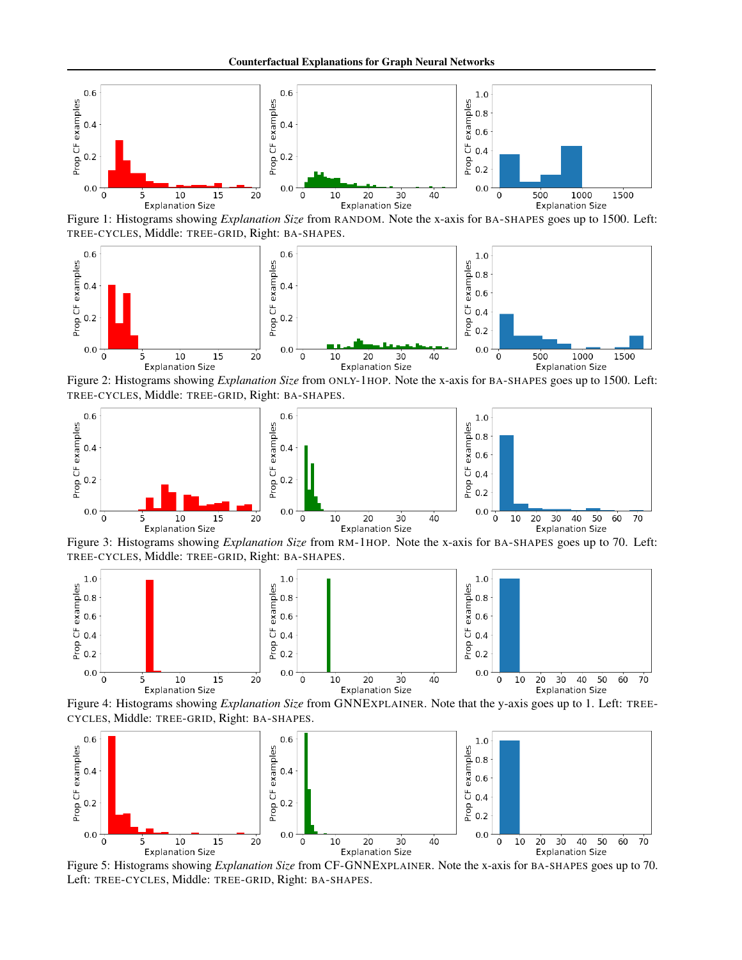<span id="page-6-0"></span>

Figure 1: Histograms showing *Explanation Size* from RANDOM. Note the x-axis for BA-SHAPES goes up to 1500. Left: TREE-CYCLES, Middle: TREE-GRID, Right: BA-SHAPES.



Figure 2: Histograms showing *Explanation Size* from ONLY-1HOP. Note the x-axis for BA-SHAPES goes up to 1500. Left: TREE-CYCLES, Middle: TREE-GRID, Right: BA-SHAPES.



Figure 3: Histograms showing *Explanation Size* from RM-1HOP. Note the x-axis for BA-SHAPES goes up to 70. Left: TREE-CYCLES, Middle: TREE-GRID, Right: BA-SHAPES.



Figure 4: Histograms showing *Explanation Size* from GNNEXPLAINER. Note that the y-axis goes up to 1. Left: TREE-CYCLES, Middle: TREE-GRID, Right: BA-SHAPES.



Figure 5: Histograms showing *Explanation Size* from CF-GNNEXPLAINER. Note the x-axis for BA-SHAPES goes up to 70. Left: TREE-CYCLES, Middle: TREE-GRID, Right: BA-SHAPES.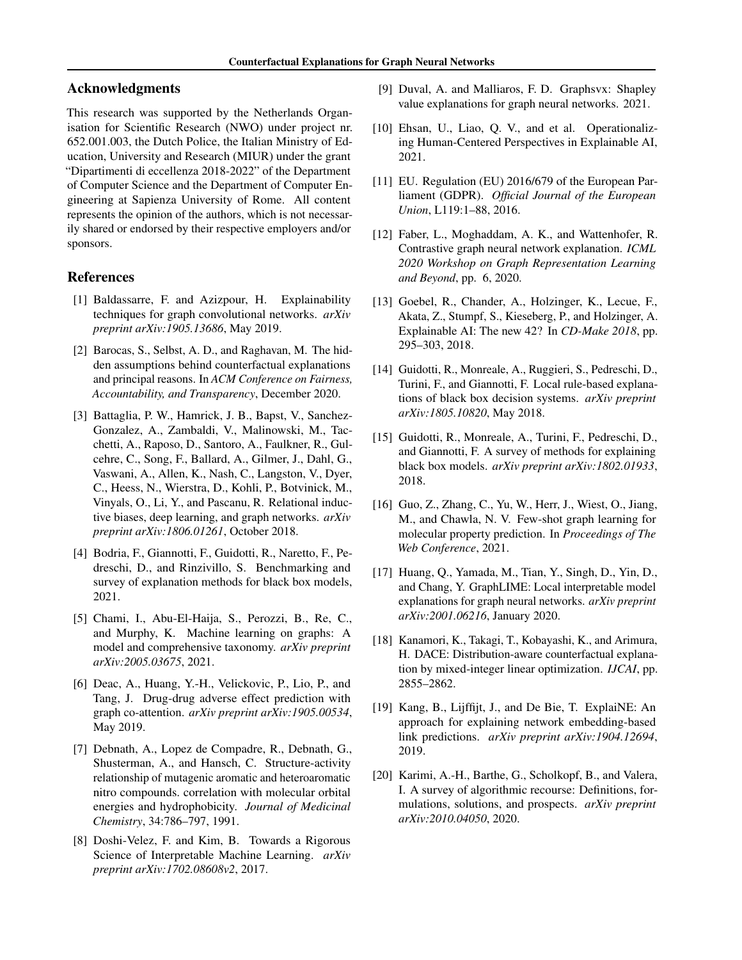### Acknowledgments

This research was supported by the Netherlands Organisation for Scientific Research (NWO) under project nr. 652.001.003, the Dutch Police, the Italian Ministry of Education, University and Research (MIUR) under the grant "Dipartimenti di eccellenza 2018-2022" of the Department of Computer Science and the Department of Computer Engineering at Sapienza University of Rome. All content represents the opinion of the authors, which is not necessarily shared or endorsed by their respective employers and/or sponsors.

### References

- <span id="page-7-7"></span>[1] Baldassarre, F. and Azizpour, H. Explainability techniques for graph convolutional networks. *arXiv preprint arXiv:1905.13686*, May 2019.
- <span id="page-7-18"></span>[2] Barocas, S., Selbst, A. D., and Raghavan, M. The hidden assumptions behind counterfactual explanations and principal reasons. In *ACM Conference on Fairness, Accountability, and Transparency*, December 2020.
- <span id="page-7-9"></span>[3] Battaglia, P. W., Hamrick, J. B., Bapst, V., Sanchez-Gonzalez, A., Zambaldi, V., Malinowski, M., Tacchetti, A., Raposo, D., Santoro, A., Faulkner, R., Gulcehre, C., Song, F., Ballard, A., Gilmer, J., Dahl, G., Vaswani, A., Allen, K., Nash, C., Langston, V., Dyer, C., Heess, N., Wierstra, D., Kohli, P., Botvinick, M., Vinyals, O., Li, Y., and Pascanu, R. Relational inductive biases, deep learning, and graph networks. *arXiv preprint arXiv:1806.01261*, October 2018.
- <span id="page-7-3"></span>[4] Bodria, F., Giannotti, F., Guidotti, R., Naretto, F., Pedreschi, D., and Rinzivillo, S. Benchmarking and survey of explanation methods for black box models, 2021.
- <span id="page-7-10"></span>[5] Chami, I., Abu-El-Haija, S., Perozzi, B., Re, C., and Murphy, K. Machine learning on graphs: A model and comprehensive taxonomy. *arXiv preprint arXiv:2005.03675*, 2021.
- <span id="page-7-6"></span>[6] Deac, A., Huang, Y.-H., Velickovic, P., Lio, P., and Tang, J. Drug-drug adverse effect prediction with graph co-attention. *arXiv preprint arXiv:1905.00534*, May 2019.
- <span id="page-7-12"></span>[7] Debnath, A., Lopez de Compadre, R., Debnath, G., Shusterman, A., and Hansch, C. Structure-activity relationship of mutagenic aromatic and heteroaromatic nitro compounds. correlation with molecular orbital energies and hydrophobicity. *Journal of Medicinal Chemistry*, 34:786–797, 1991.
- <span id="page-7-11"></span>[8] Doshi-Velez, F. and Kim, B. Towards a Rigorous Science of Interpretable Machine Learning. *arXiv preprint arXiv:1702.08608v2*, 2017.
- <span id="page-7-8"></span>[9] Duval, A. and Malliaros, F. D. Graphsvx: Shapley value explanations for graph neural networks. 2021.
- <span id="page-7-19"></span>[10] Ehsan, U., Liao, Q. V., and et al. Operationalizing Human-Centered Perspectives in Explainable AI, 2021.
- <span id="page-7-1"></span>[11] EU. Regulation (EU) 2016/679 of the European Parliament (GDPR). *Official Journal of the European Union*, L119:1–88, 2016.
- <span id="page-7-15"></span>[12] Faber, L., Moghaddam, A. K., and Wattenhofer, R. Contrastive graph neural network explanation. *ICML 2020 Workshop on Graph Representation Learning and Beyond*, pp. 6, 2020.
- <span id="page-7-0"></span>[13] Goebel, R., Chander, A., Holzinger, K., Lecue, F., Akata, Z., Stumpf, S., Kieseberg, P., and Holzinger, A. Explainable AI: The new 42? In *CD-Make 2018*, pp. 295–303, 2018.
- <span id="page-7-16"></span>[14] Guidotti, R., Monreale, A., Ruggieri, S., Pedreschi, D., Turini, F., and Giannotti, F. Local rule-based explanations of black box decision systems. *arXiv preprint arXiv:1805.10820*, May 2018.
- <span id="page-7-2"></span>[15] Guidotti, R., Monreale, A., Turini, F., Pedreschi, D., and Giannotti, F. A survey of methods for explaining black box models. *arXiv preprint arXiv:1802.01933*, 2018.
- <span id="page-7-5"></span>[16] Guo, Z., Zhang, C., Yu, W., Herr, J., Wiest, O., Jiang, M., and Chawla, N. V. Few-shot graph learning for molecular property prediction. In *Proceedings of The Web Conference*, 2021.
- <span id="page-7-14"></span>[17] Huang, Q., Yamada, M., Tian, Y., Singh, D., Yin, D., and Chang, Y. GraphLIME: Local interpretable model explanations for graph neural networks. *arXiv preprint arXiv:2001.06216*, January 2020.
- <span id="page-7-17"></span>[18] Kanamori, K., Takagi, T., Kobayashi, K., and Arimura, H. DACE: Distribution-aware counterfactual explanation by mixed-integer linear optimization. *IJCAI*, pp. 2855–2862.
- <span id="page-7-13"></span>[19] Kang, B., Lijffijt, J., and De Bie, T. ExplaiNE: An approach for explaining network embedding-based link predictions. *arXiv preprint arXiv:1904.12694*, 2019.
- <span id="page-7-4"></span>[20] Karimi, A.-H., Barthe, G., Scholkopf, B., and Valera, I. A survey of algorithmic recourse: Definitions, formulations, solutions, and prospects. *arXiv preprint arXiv:2010.04050*, 2020.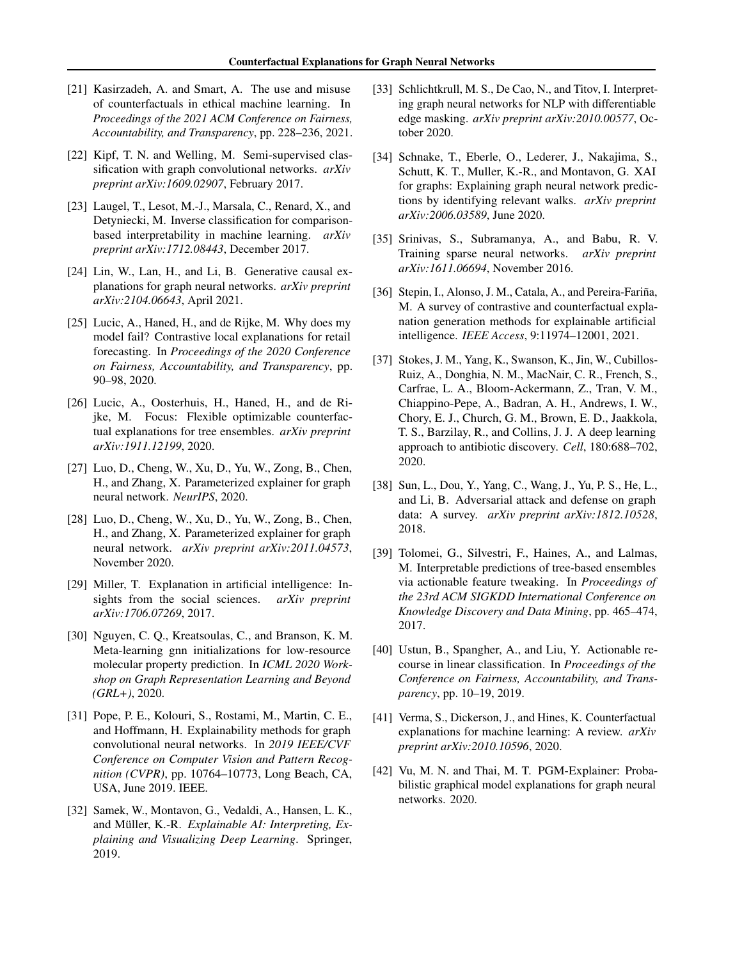- <span id="page-8-21"></span>[21] Kasirzadeh, A. and Smart, A. The use and misuse of counterfactuals in ethical machine learning. In *Proceedings of the 2021 ACM Conference on Fairness, Accountability, and Transparency*, pp. 228–236, 2021.
- <span id="page-8-14"></span>[22] Kipf, T. N. and Welling, M. Semi-supervised classification with graph convolutional networks. *arXiv preprint arXiv:1609.02907*, February 2017.
- <span id="page-8-18"></span>[23] Laugel, T., Lesot, M.-J., Marsala, C., Renard, X., and Detyniecki, M. Inverse classification for comparisonbased interpretability in machine learning. *arXiv preprint arXiv:1712.08443*, December 2017.
- <span id="page-8-6"></span>[24] Lin, W., Lan, H., and Li, B. Generative causal explanations for graph neural networks. *arXiv preprint arXiv:2104.06643*, April 2021.
- <span id="page-8-19"></span>[25] Lucic, A., Haned, H., and de Rijke, M. Why does my model fail? Contrastive local explanations for retail forecasting. In *Proceedings of the 2020 Conference on Fairness, Accountability, and Transparency*, pp. 90–98, 2020.
- <span id="page-8-13"></span>[26] Lucic, A., Oosterhuis, H., Haned, H., and de Rijke, M. Focus: Flexible optimizable counterfactual explanations for tree ensembles. *arXiv preprint arXiv:1911.12199*, 2020.
- <span id="page-8-15"></span>[27] Luo, D., Cheng, W., Xu, D., Yu, W., Zong, B., Chen, H., and Zhang, X. Parameterized explainer for graph neural network. *NeurIPS*, 2020.
- <span id="page-8-7"></span>[28] Luo, D., Cheng, W., Xu, D., Yu, W., Zong, B., Chen, H., and Zhang, X. Parameterized explainer for graph neural network. *arXiv preprint arXiv:2011.04573*, November 2020.
- <span id="page-8-0"></span>[29] Miller, T. Explanation in artificial intelligence: Insights from the social sciences. *arXiv preprint arXiv:1706.07269*, 2017.
- <span id="page-8-5"></span>[30] Nguyen, C. Q., Kreatsoulas, C., and Branson, K. M. Meta-learning gnn initializations for low-resource molecular property prediction. In *ICML 2020 Workshop on Graph Representation Learning and Beyond (GRL+)*, 2020.
- <span id="page-8-8"></span>[31] Pope, P. E., Kolouri, S., Rostami, M., Martin, C. E., and Hoffmann, H. Explainability methods for graph convolutional neural networks. In *2019 IEEE/CVF Conference on Computer Vision and Pattern Recognition (CVPR)*, pp. 10764–10773, Long Beach, CA, USA, June 2019. IEEE.
- <span id="page-8-1"></span>[32] Samek, W., Montavon, G., Vedaldi, A., Hansen, L. K., and Müller, K.-R. Explainable AI: Interpreting, Ex*plaining and Visualizing Deep Learning*. Springer, 2019.
- <span id="page-8-9"></span>[33] Schlichtkrull, M. S., De Cao, N., and Titov, I. Interpreting graph neural networks for NLP with differentiable edge masking. *arXiv preprint arXiv:2010.00577*, October 2020.
- <span id="page-8-16"></span>[34] Schnake, T., Eberle, O., Lederer, J., Nakajima, S., Schutt, K. T., Muller, K.-R., and Montavon, G. XAI for graphs: Explaining graph neural network predictions by identifying relevant walks. *arXiv preprint arXiv:2006.03589*, June 2020.
- <span id="page-8-12"></span>[35] Srinivas, S., Subramanya, A., and Babu, R. V. Training sparse neural networks. *arXiv preprint arXiv:1611.06694*, November 2016.
- <span id="page-8-2"></span>[36] Stepin, I., Alonso, J. M., Catala, A., and Pereira-Fariña, M. A survey of contrastive and counterfactual explanation generation methods for explainable artificial intelligence. *IEEE Access*, 9:11974–12001, 2021.
- <span id="page-8-4"></span>[37] Stokes, J. M., Yang, K., Swanson, K., Jin, W., Cubillos-Ruiz, A., Donghia, N. M., MacNair, C. R., French, S., Carfrae, L. A., Bloom-Ackermann, Z., Tran, V. M., Chiappino-Pepe, A., Badran, A. H., Andrews, I. W., Chory, E. J., Church, G. M., Brown, E. D., Jaakkola, T. S., Barzilay, R., and Collins, J. J. A deep learning approach to antibiotic discovery. *Cell*, 180:688–702, 2020.
- <span id="page-8-17"></span>[38] Sun, L., Dou, Y., Yang, C., Wang, J., Yu, P. S., He, L., and Li, B. Adversarial attack and defense on graph data: A survey. *arXiv preprint arXiv:1812.10528*, 2018.
- <span id="page-8-20"></span>[39] Tolomei, G., Silvestri, F., Haines, A., and Lalmas, M. Interpretable predictions of tree-based ensembles via actionable feature tweaking. In *Proceedings of the 23rd ACM SIGKDD International Conference on Knowledge Discovery and Data Mining*, pp. 465–474, 2017.
- <span id="page-8-3"></span>[40] Ustun, B., Spangher, A., and Liu, Y. Actionable recourse in linear classification. In *Proceedings of the Conference on Fairness, Accountability, and Transparency*, pp. 10–19, 2019.
- <span id="page-8-11"></span>[41] Verma, S., Dickerson, J., and Hines, K. Counterfactual explanations for machine learning: A review. *arXiv preprint arXiv:2010.10596*, 2020.
- <span id="page-8-10"></span>[42] Vu, M. N. and Thai, M. T. PGM-Explainer: Probabilistic graphical model explanations for graph neural networks. 2020.